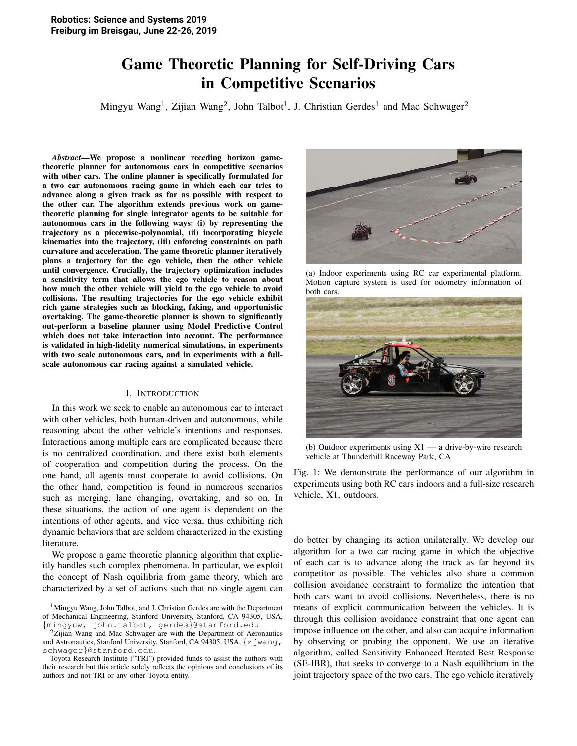# Game Theoretic Planning for Self-Driving Cars in Competitive Scenarios

Mingyu Wang<sup>1</sup>, Zijian Wang<sup>2</sup>, John Talbot<sup>1</sup>, J. Christian Gerdes<sup>1</sup> and Mac Schwager<sup>2</sup>

*Abstract*—We propose a nonlinear receding horizon gametheoretic planner for autonomous cars in competitive scenarios with other cars. The online planner is specifically formulated for a two car autonomous racing game in which each car tries to advance along a given track as far as possible with respect to the other car. The algorithm extends previous work on gametheoretic planning for single integrator agents to be suitable for autonomous cars in the following ways: (i) by representing the trajectory as a piecewise-polynomial, (ii) incorporating bicycle kinematics into the trajectory, (iii) enforcing constraints on path curvature and acceleration. The game theoretic planner iteratively plans a trajectory for the ego vehicle, then the other vehicle until convergence. Crucially, the trajectory optimization includes a sensitivity term that allows the ego vehicle to reason about how much the other vehicle will yield to the ego vehicle to avoid collisions. The resulting trajectories for the ego vehicle exhibit rich game strategies such as blocking, faking, and opportunistic overtaking. The game-theoretic planner is shown to significantly out-perform a baseline planner using Model Predictive Control which does not take interaction into account. The performance is validated in high-fidelity numerical simulations, in experiments with two scale autonomous cars, and in experiments with a fullscale autonomous car racing against a simulated vehicle.

# I. INTRODUCTION

In this work we seek to enable an autonomous car to interact with other vehicles, both human-driven and autonomous, while reasoning about the other vehicle's intentions and responses. Interactions among multiple cars are complicated because there is no centralized coordination, and there exist both elements of cooperation and competition during the process. On the one hand, all agents must cooperate to avoid collisions. On the other hand, competition is found in numerous scenarios such as merging, lane changing, overtaking, and so on. In these situations, the action of one agent is dependent on the intentions of other agents, and vice versa, thus exhibiting rich dynamic behaviors that are seldom characterized in the existing literature.

We propose a game theoretic planning algorithm that explicitly handles such complex phenomena. In particular, we exploit the concept of Nash equilibria from game theory, which are characterized by a set of actions such that no single agent can

Toyota Research Institute ("TRI") provided funds to assist the authors with their research but this article solely reflects the opinions and conclusions of its authors and not TRI or any other Toyota entity.



(a) Indoor experiments using RC car experimental platform. Motion capture system is used for odometry information of both cars.



(b) Outdoor experiments using  $X1 - a$  drive-by-wire research vehicle at Thunderhill Raceway Park, CA

Fig. 1: We demonstrate the performance of our algorithm in experiments using both RC cars indoors and a full-size research vehicle, X1, outdoors.

do better by changing its action unilaterally. We develop our algorithm for a two car racing game in which the objective of each car is to advance along the track as far beyond its competitor as possible. The vehicles also share a common collision avoidance constraint to formalize the intention that both cars want to avoid collisions. Nevertheless, there is no means of explicit communication between the vehicles. It is through this collision avoidance constraint that one agent can impose influence on the other, and also can acquire information by observing or probing the opponent. We use an iterative algorithm, called Sensitivity Enhanced Iterated Best Response (SE-IBR), that seeks to converge to a Nash equilibrium in the joint trajectory space of the two cars. The ego vehicle iteratively

<sup>&</sup>lt;sup>1</sup>Mingyu Wang, John Talbot, and J. Christian Gerdes are with the Department of Mechanical Engineering, Stanford University, Stanford, CA 94305, USA, {mingyuw, john.talbot, gerdes}@stanford.edu.

 $2Z$ ijian Wang and Mac Schwager are with the Department of Aeronautics and Astronautics, Stanford University, Stanford, CA 94305, USA, {zjwang, schwager}@stanford.edu.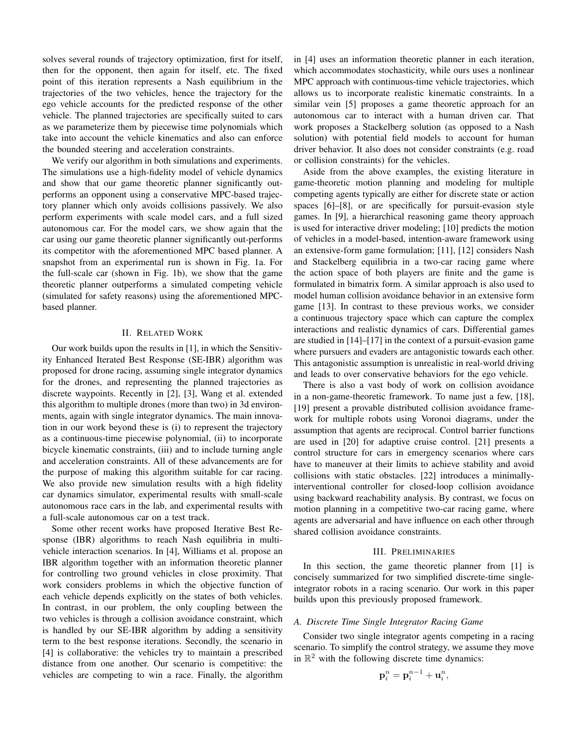solves several rounds of trajectory optimization, first for itself, then for the opponent, then again for itself, etc. The fixed point of this iteration represents a Nash equilibrium in the trajectories of the two vehicles, hence the trajectory for the ego vehicle accounts for the predicted response of the other vehicle. The planned trajectories are specifically suited to cars as we parameterize them by piecewise time polynomials which take into account the vehicle kinematics and also can enforce the bounded steering and acceleration constraints.

We verify our algorithm in both simulations and experiments. The simulations use a high-fidelity model of vehicle dynamics and show that our game theoretic planner significantly outperforms an opponent using a conservative MPC-based trajectory planner which only avoids collisions passively. We also perform experiments with scale model cars, and a full sized autonomous car. For the model cars, we show again that the car using our game theoretic planner significantly out-performs its competitor with the aforementioned MPC based planner. A snapshot from an experimental run is shown in Fig. 1a. For the full-scale car (shown in Fig. 1b), we show that the game theoretic planner outperforms a simulated competing vehicle (simulated for safety reasons) using the aforementioned MPCbased planner.

# **II. RELATED WORK**

Our work builds upon the results in [1], in which the Sensitivity Enhanced Iterated Best Response (SE-IBR) algorithm was proposed for drone racing, assuming single integrator dynamics for the drones, and representing the planned trajectories as discrete waypoints. Recently in [2], [3], Wang et al. extended this algorithm to multiple drones (more than two) in 3d environments, again with single integrator dynamics. The main innovation in our work beyond these is (i) to represent the trajectory as a continuous-time piecewise polynomial, (ii) to incorporate bicycle kinematic constraints, (iii) and to include turning angle and acceleration constraints. All of these advancements are for the purpose of making this algorithm suitable for car racing. We also provide new simulation results with a high fidelity car dynamics simulator, experimental results with small-scale autonomous race cars in the lab, and experimental results with a full-scale autonomous car on a test track.

Some other recent works have proposed Iterative Best Response (IBR) algorithms to reach Nash equilibria in multivehicle interaction scenarios. In [4], Williams et al. propose an IBR algorithm together with an information theoretic planner for controlling two ground vehicles in close proximity. That work considers problems in which the objective function of each vehicle depends explicitly on the states of both vehicles. In contrast, in our problem, the only coupling between the two vehicles is through a collision avoidance constraint, which is handled by our SE-IBR algorithm by adding a sensitivity term to the best response iterations. Secondly, the scenario in [4] is collaborative: the vehicles try to maintain a prescribed distance from one another. Our scenario is competitive: the vehicles are competing to win a race. Finally, the algorithm in [4] uses an information theoretic planner in each iteration, which accommodates stochasticity, while ours uses a nonlinear MPC approach with continuous-time vehicle trajectories, which allows us to incorporate realistic kinematic constraints. In a similar vein [5] proposes a game theoretic approach for an autonomous car to interact with a human driven car. That work proposes a Stackelberg solution (as opposed to a Nash solution) with potential field models to account for human driver behavior. It also does not consider constraints (e.g. road or collision constraints) for the vehicles.

Aside from the above examples, the existing literature in game-theoretic motion planning and modeling for multiple competing agents typically are either for discrete state or action spaces [6]–[8], or are specifically for pursuit-evasion style games. In [9], a hierarchical reasoning game theory approach is used for interactive driver modeling; [10] predicts the motion of vehicles in a model-based, intention-aware framework using an extensive-form game formulation; [11], [12] considers Nash and Stackelberg equilibria in a two-car racing game where the action space of both players are finite and the game is formulated in bimatrix form. A similar approach is also used to model human collision avoidance behavior in an extensive form game [13]. In contrast to these previous works, we consider a continuous trajectory space which can capture the complex interactions and realistic dynamics of cars. Differential games are studied in  $[14]$ – $[17]$  in the context of a pursuit-evasion game where pursuers and evaders are antagonistic towards each other. This antagonistic assumption is unrealistic in real-world driving and leads to over conservative behaviors for the ego vehicle.

There is also a vast body of work on collision avoidance in a non-game-theoretic framework. To name just a few, [18], [19] present a provable distributed collision avoidance framework for multiple robots using Voronoi diagrams, under the assumption that agents are reciprocal. Control barrier functions are used in [20] for adaptive cruise control. [21] presents a control structure for cars in emergency scenarios where cars have to maneuver at their limits to achieve stability and avoid collisions with static obstacles. [22] introduces a minimallyinterventional controller for closed-loop collision avoidance using backward reachability analysis. By contrast, we focus on motion planning in a competitive two-car racing game, where agents are adversarial and have influence on each other through shared collision avoidance constraints.

#### **III. PRELIMINARIES**

In this section, the game theoretic planner from [1] is concisely summarized for two simplified discrete-time singleintegrator robots in a racing scenario. Our work in this paper builds upon this previously proposed framework.

# A. Discrete Time Single Integrator Racing Game

Consider two single integrator agents competing in a racing scenario. To simplify the control strategy, we assume they move in  $\mathbb{R}^2$  with the following discrete time dynamics:

$$
\mathbf{p}_i^n = \mathbf{p}_i^{n-1} + \mathbf{u}_i^n
$$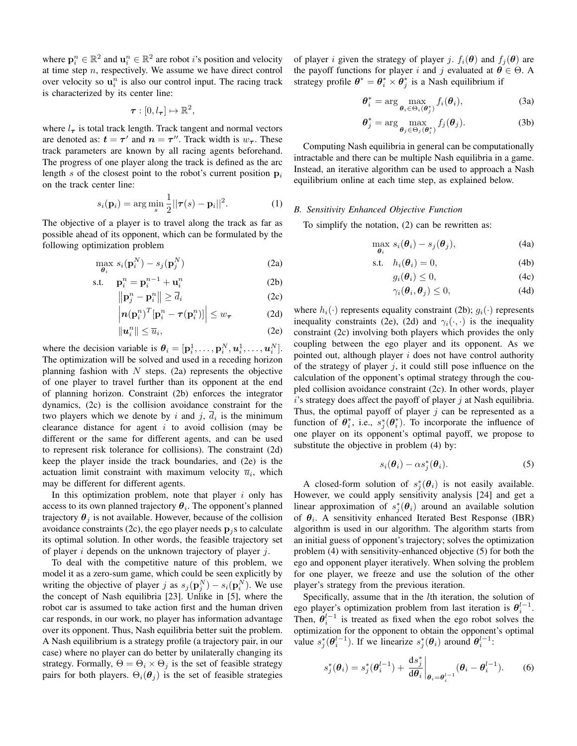where  $\mathbf{p}_i^n \in \mathbb{R}^2$  and  $\mathbf{u}_i^n \in \mathbb{R}^2$  are robot *i*'s position and velocity at time step  $n$ , respectively. We assume we have direct control over velocity so  $\mathbf{u}_i^n$  is also our control input. The racing track is characterized by its center line:

$$
\boldsymbol{\tau}:[0,l_{\boldsymbol{\tau}}]\mapsto\mathbb{R}^2
$$

where  $l_{\tau}$  is total track length. Track tangent and normal vectors are denoted as:  $t = \tau'$  and  $n = \tau''$ . Track width is  $w_{\tau}$ . These track parameters are known by all racing agents beforehand. The progress of one player along the track is defined as the arc length s of the closest point to the robot's current position  $p_i$ on the track center line:

$$
s_i(\mathbf{p}_i) = \arg\min_s \frac{1}{2} ||\boldsymbol{\tau}(s) - \mathbf{p}_i||^2.
$$
 (1)

The objective of a player is to travel along the track as far as possible ahead of its opponent, which can be formulated by the following optimization problem

$$
\max_{\boldsymbol{\theta}_i} s_i(\mathbf{p}_i^N) - s_j(\mathbf{p}_j^N) \tag{2a}
$$

$$
\text{s.t.} \quad \mathbf{p}_i^n = \mathbf{p}_i^{n-1} + \mathbf{u}_i^n \tag{2b}
$$

$$
\|\mathbf{p}_j^n - \mathbf{p}_i^n\| \ge d_i \tag{2c}
$$

$$
\left| n(\mathbf{p}_i^n)^T \left[ \mathbf{p}_i^n - \tau(\mathbf{p}_i^n) \right] \right| \le w_{\tau} \tag{2d}
$$

$$
\|\boldsymbol{u}_i^n\| \le \overline{u}_i,\tag{2e}
$$

where the decision variable is  $\theta_i = [\mathbf{p}_i^1, \dots, \mathbf{p}_i^N, \mathbf{u}_i^1, \dots, \mathbf{u}_i^N].$ The optimization will be solved and used in a receding horizon planning fashion with  $N$  steps. (2a) represents the objective of one player to travel further than its opponent at the end of planning horizon. Constraint (2b) enforces the integrator dynamics, (2c) is the collision avoidance constraint for the two players which we denote by i and j,  $\overline{d}_i$  is the minimum clearance distance for agent  $i$  to avoid collision (may be different or the same for different agents, and can be used to represent risk tolerance for collisions). The constraint (2d) keep the player inside the track boundaries, and (2e) is the actuation limit constraint with maximum velocity  $\overline{u}_i$ , which may be different for different agents.

In this optimization problem, note that player  $i$  only has access to its own planned trajectory  $\theta_i$ . The opponent's planned trajectory  $\theta_j$  is not available. However, because of the collision avoidance constraints (2c), the ego player needs  $\mathbf{p}_i$ s to calculate its optimal solution. In other words, the feasible trajectory set of player i depends on the unknown trajectory of player j.

To deal with the competitive nature of this problem, we model it as a zero-sum game, which could be seen explicitly by writing the objective of player j as  $s_i(\mathbf{p}_i^N) - s_i(\mathbf{p}_i^N)$ . We use the concept of Nash equilibria [23]. Unlike in [5], where the robot car is assumed to take action first and the human driven car responds, in our work, no player has information advantage over its opponent. Thus, Nash equilibria better suit the problem. A Nash equilibrium is a strategy profile (a trajectory pair, in our case) where no player can do better by unilaterally changing its strategy. Formally,  $\Theta = \Theta_i \times \Theta_j$  is the set of feasible strategy pairs for both players.  $\Theta_i(\theta_i)$  is the set of feasible strategies of player i given the strategy of player j.  $f_i(\theta)$  and  $f_i(\theta)$  are the payoff functions for player i and j evaluated at  $\theta \in \Theta$ . A strategy profile  $\theta^* = \theta_i^* \times \theta_i^*$  is a Nash equilibrium if

$$
\boldsymbol{\theta}_{i}^{*} = \arg \max_{\boldsymbol{\theta}_{i} \in \Theta_{i}(\boldsymbol{\theta}_{i}^{*})} f_{i}(\boldsymbol{\theta}_{i}), \qquad (3a)
$$

$$
\boldsymbol{\theta}_{j}^{*} = \arg \max_{\boldsymbol{\theta}_{j} \in \Theta_{j}(\boldsymbol{\theta}_{i}^{*})} f_{j}(\boldsymbol{\theta}_{j}).
$$
 (3b)

Computing Nash equilibria in general can be computationally intractable and there can be multiple Nash equilibria in a game. Instead, an iterative algorithm can be used to approach a Nash equilibrium online at each time step, as explained below.

#### **B.** Sensitivity Enhanced Objective Function

To simplify the notation,  $(2)$  can be rewritten as:

$$
\max_{\boldsymbol{\theta}_i} s_i(\boldsymbol{\theta}_i) - s_j(\boldsymbol{\theta}_j), \tag{4a}
$$

$$
\text{s.t.} \quad h_i(\boldsymbol{\theta}_i) = 0,\tag{4b}
$$

$$
g_i(\boldsymbol{\theta}_i) \le 0,\tag{4c}
$$

$$
\gamma_i(\boldsymbol{\theta}_i, \boldsymbol{\theta}_j) \le 0,\tag{4d}
$$

where  $h_i(\cdot)$  represents equality constraint (2b);  $g_i(\cdot)$  represents inequality constraints (2e), (2d) and  $\gamma_i(\cdot, \cdot)$  is the inequality constraint (2c) involving both players which provides the only coupling between the ego player and its opponent. As we pointed out, although player  $i$  does not have control authority of the strategy of player  $j$ , it could still pose influence on the calculation of the opponent's optimal strategy through the coupled collision avoidance constraint (2c). In other words, player  $i$ 's strategy does affect the payoff of player  $j$  at Nash equilibria. Thus, the optimal payoff of player  $j$  can be represented as a function of  $\theta_i^*$ , i.e.,  $s_i^*(\theta_i^*)$ . To incorporate the influence of one player on its opponent's optimal payoff, we propose to substitute the objective in problem (4) by:

$$
s_i(\boldsymbol{\theta}_i) - \alpha s_j^*(\boldsymbol{\theta}_i). \tag{5}
$$

A closed-form solution of  $s_i^*(\theta_i)$  is not easily available. However, we could apply sensitivity analysis [24] and get a linear approximation of  $s_i^*(\theta_i)$  around an available solution of  $\theta_i$ . A sensitivity enhanced Iterated Best Response (IBR) algorithm is used in our algorithm. The algorithm starts from an initial guess of opponent's trajectory; solves the optimization problem (4) with sensitivity-enhanced objective (5) for both the ego and opponent player iteratively. When solving the problem for one player, we freeze and use the solution of the other player's strategy from the previous iteration.

Specifically, assume that in the *lth* iteration, the solution of ego player's optimization problem from last iteration is  $\theta_i^{l-1}$ . Then,  $\theta_i^{l-1}$  is treated as fixed when the ego robot solves the optimization for the opponent to obtain the opponent's optimal value  $s_i^*(\theta_i^{l-1})$ . If we linearize  $s_i^*(\theta_i)$  around  $\theta_i^{l-1}$ .

$$
s_j^*(\boldsymbol{\theta}_i) = s_j^*(\boldsymbol{\theta}_i^{l-1}) + \left. \frac{\mathrm{d}s_j^*}{\mathrm{d}\boldsymbol{\theta}_i} \right|_{\boldsymbol{\theta}_i = \boldsymbol{\theta}_i^{l-1}} (\boldsymbol{\theta}_i - \boldsymbol{\theta}_i^{l-1}). \tag{6}
$$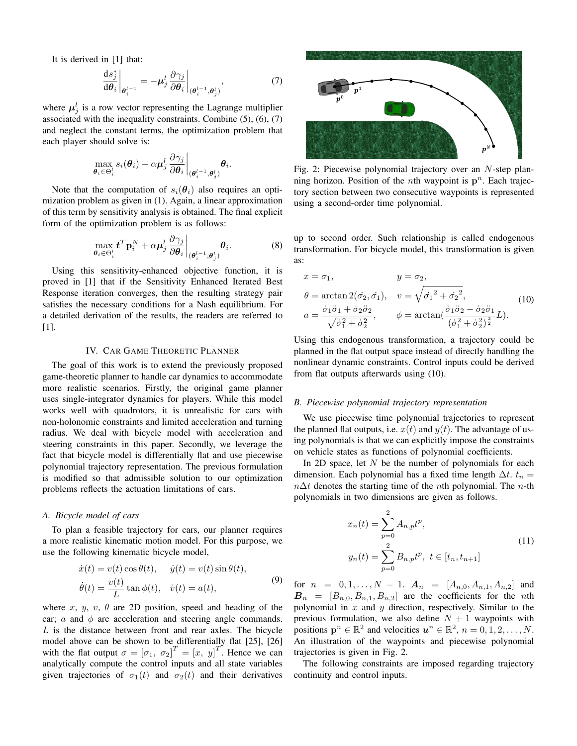It is derived in  $[1]$  that:

$$
\left. \frac{\mathrm{d}s_j^*}{\mathrm{d}\theta_i} \right|_{\boldsymbol{\theta}_i^{l-1}} = -\boldsymbol{\mu}_j^l \left. \frac{\partial \gamma_j}{\partial \boldsymbol{\theta}_i} \right|_{(\boldsymbol{\theta}_i^{l-1}, \boldsymbol{\theta}_j^l)},\tag{7}
$$

where  $\mu_i^l$  is a row vector representing the Lagrange multiplier associated with the inequality constraints. Combine  $(5)$ ,  $(6)$ ,  $(7)$ and neglect the constant terms, the optimization problem that each player should solve is:

$$
\max_{\boldsymbol{\theta}_i\in\Theta_i^l} s_i(\boldsymbol{\theta}_i) + \alpha\boldsymbol{\mu}_j^l\frac{\partial\gamma_j}{\partial\boldsymbol{\theta}_i}\bigg|_{(\boldsymbol{\theta}_i^{l-1},\boldsymbol{\theta}_i^l)}\boldsymbol{\theta}_i.
$$

Note that the computation of  $s_i(\theta_i)$  also requires an optimization problem as given in (1). Again, a linear approximation of this term by sensitivity analysis is obtained. The final explicit form of the optimization problem is as follows:

$$
\max_{\boldsymbol{\theta}_i \in \Theta_i^l} \mathbf{t}^T \mathbf{p}_i^N + \alpha \boldsymbol{\mu}_j^l \frac{\partial \gamma_j}{\partial \boldsymbol{\theta}_i} \bigg|_{(\boldsymbol{\theta}_i^{l-1}, \boldsymbol{\theta}_j^l)} \boldsymbol{\theta}_i. \tag{8}
$$

Using this sensitivity-enhanced objective function, it is proved in [1] that if the Sensitivity Enhanced Iterated Best Response iteration converges, then the resulting strategy pair satisfies the necessary conditions for a Nash equilibrium. For a detailed derivation of the results, the readers are referred to  $[1]$ .

## **IV. CAR GAME THEORETIC PLANNER**

The goal of this work is to extend the previously proposed game-theoretic planner to handle car dynamics to accommodate more realistic scenarios. Firstly, the original game planner uses single-integrator dynamics for players. While this model works well with quadrotors, it is unrealistic for cars with non-holonomic constraints and limited acceleration and turning radius. We deal with bicycle model with acceleration and steering constraints in this paper. Secondly, we leverage the fact that bicycle model is differentially flat and use piecewise polynomial trajectory representation. The previous formulation is modified so that admissible solution to our optimization problems reflects the actuation limitations of cars.

#### A. Bicycle model of cars

To plan a feasible trajectory for cars, our planner requires a more realistic kinematic motion model. For this purpose, we use the following kinematic bicycle model,

$$
\begin{aligned} \dot{x}(t) &= v(t)\cos\theta(t), & \dot{y}(t) &= v(t)\sin\theta(t), \\ \dot{\theta}(t) &= \frac{v(t)}{L}\tan\phi(t), & \dot{v}(t) &= a(t), \end{aligned} \tag{9}
$$

where x, y, v,  $\theta$  are 2D position, speed and heading of the car; a and  $\phi$  are acceleration and steering angle commands.  $L$  is the distance between front and rear axles. The bicycle model above can be shown to be differentially flat [25], [26] with the flat output  $\sigma = [\sigma_1, \sigma_2]^T = [x, y]^T$ . Hence we can analytically compute the control inputs and all state variables given trajectories of  $\sigma_1(t)$  and  $\sigma_2(t)$  and their derivatives



Fig. 2: Piecewise polynomial trajectory over an  $N$ -step planning horizon. Position of the *n*th waypoint is  $p^n$ . Each trajectory section between two consecutive waypoints is represented using a second-order time polynomial.

up to second order. Such relationship is called endogenous transformation. For bicycle model, this transformation is given as:

$$
x = \sigma_1, \qquad y = \sigma_2,
$$
  
\n
$$
\theta = \arctan 2(\dot{\sigma}_2, \dot{\sigma}_1), \qquad v = \sqrt{{\dot{\sigma}_1}^2 + {\dot{\sigma}_2}^2},
$$
  
\n
$$
a = \frac{\dot{\sigma}_1 \ddot{\sigma}_1 + \dot{\sigma}_2 \ddot{\sigma}_2}{\sqrt{\dot{\sigma}_1^2 + \dot{\sigma}_2^2}}, \qquad \phi = \arctan(\frac{\dot{\sigma}_1 \ddot{\sigma}_2 - \dot{\sigma}_2 \ddot{\sigma}_1}{(\dot{\sigma}_1^2 + \dot{\sigma}_2^2)^{\frac{3}{2}}}L).
$$
\n(10)

Using this endogenous transformation, a trajectory could be planned in the flat output space instead of directly handling the nonlinear dynamic constraints. Control inputs could be derived from flat outputs afterwards using (10).

## B. Piecewise polynomial trajectory representation

We use piecewise time polynomial trajectories to represent the planned flat outputs, i.e.  $x(t)$  and  $y(t)$ . The advantage of using polynomials is that we can explicitly impose the constraints on vehicle states as functions of polynomial coefficients.

In 2D space, let  $N$  be the number of polynomials for each dimension. Each polynomial has a fixed time length  $\Delta t$ .  $t_n =$  $n\Delta t$  denotes the starting time of the *n*th polynomial. The *n*-th polynomials in two dimensions are given as follows.

$$
x_n(t) = \sum_{p=0}^{2} A_{n,p} t^p,
$$
  
\n
$$
y_n(t) = \sum_{p=0}^{2} B_{n,p} t^p, \ t \in [t_n, t_{n+1}]
$$
\n(11)

for  $n = 0, 1, ..., N - 1$ .  $A_n = [A_{n,0}, A_{n,1}, A_{n,2}]$  and  $B_n = [B_{n,0}, B_{n,1}, B_{n,2}]$  are the coefficients for the *n*th polynomial in  $x$  and  $y$  direction, respectively. Similar to the previous formulation, we also define  $N + 1$  waypoints with positions  $\mathbf{p}^n \in \mathbb{R}^2$  and velocities  $\mathbf{u}^n \in \mathbb{R}^2$ ,  $n = 0, 1, 2, ..., N$ . An illustration of the waypoints and piecewise polynomial trajectories is given in Fig. 2.

The following constraints are imposed regarding trajectory continuity and control inputs.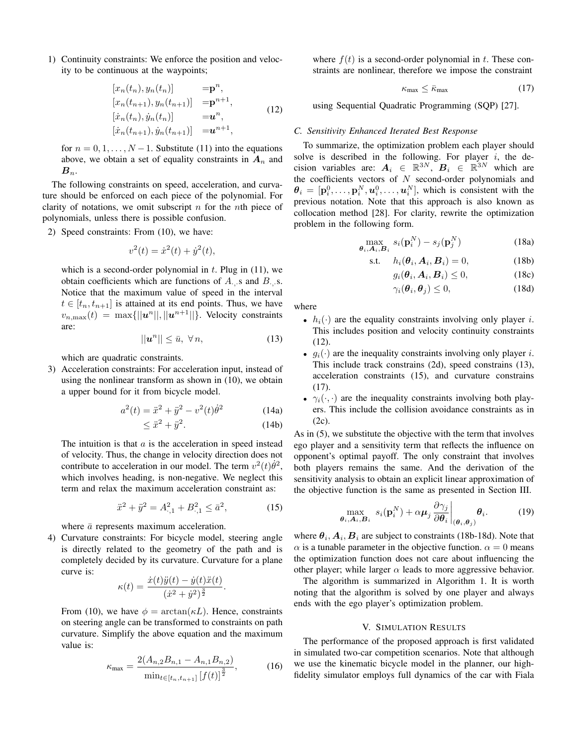1) Continuity constraints: We enforce the position and velocity to be continuous at the waypoints;

$$
[x_n(t_n), y_n(t_n)] = \mathbf{p}^n,
$$
  
\n
$$
[x_n(t_{n+1}), y_n(t_{n+1})] = \mathbf{p}^{n+1},
$$
  
\n
$$
[\dot{x}_n(t_n), \dot{y}_n(t_n)] = \mathbf{u}^n,
$$
  
\n
$$
[\dot{x}_n(t_{n+1}), \dot{y}_n(t_{n+1})] = \mathbf{u}^{n+1},
$$
\n(12)

for  $n = 0, 1, ..., N - 1$ . Substitute (11) into the equations above, we obtain a set of equality constraints in  $A_n$  and  $B_n$ .

The following constraints on speed, acceleration, and curvature should be enforced on each piece of the polynomial. For clarity of notations, we omit subscript  $n$  for the  $n$ th piece of polynomials, unless there is possible confusion.

2) Speed constraints: From (10), we have:

$$
v^2(t) = \dot{x}^2(t) + \dot{y}^2(t),
$$

which is a second-order polynomial in  $t$ . Plug in (11), we obtain coefficients which are functions of  $A$ . s and  $B$ . s. Notice that the maximum value of speed in the interval  $t \in [t_n, t_{n+1}]$  is attained at its end points. Thus, we have  $v_{n,\max}(t) = \max\{||\mathbf{u}^{n}||, ||\mathbf{u}^{n+1}||\}$ . Velocity constraints are:

$$
||u^n|| \le \bar{u}, \ \forall \, n,\tag{13}
$$

which are quadratic constraints.

3) Acceleration constraints: For acceleration input, instead of using the nonlinear transform as shown in  $(10)$ , we obtain a upper bound for it from bicycle model.

$$
a^{2}(t) = \ddot{x}^{2} + \ddot{y}^{2} - v^{2}(t)\dot{\theta}^{2}
$$
 (14a)

$$
\langle \ddot{x}^2 + \ddot{y}^2. \tag{14b}
$$

The intuition is that  $a$  is the acceleration in speed instead of velocity. Thus, the change in velocity direction does not contribute to acceleration in our model. The term  $v^2(t)\dot{\theta}^2$ , which involves heading, is non-negative. We neglect this term and relax the maximum acceleration constraint as:

$$
\ddot{x}^2 + \ddot{y}^2 = A_{\cdot,1}^2 + B_{\cdot,1}^2 \le \bar{a}^2,\tag{15}
$$

where  $\bar{a}$  represents maximum acceleration.

4) Curvature constraints: For bicycle model, steering angle is directly related to the geometry of the path and is completely decided by its curvature. Curvature for a plane curve is:

$$
\kappa(t) = \frac{\dot{x}(t)\ddot{y}(t) - \dot{y}(t)\ddot{x}(t)}{(\dot{x}^2 + \dot{y}^2)^{\frac{3}{2}}}
$$

From (10), we have  $\phi = \arctan(\kappa L)$ . Hence, constraints on steering angle can be transformed to constraints on path curvature. Simplify the above equation and the maximum value is:

$$
\kappa_{\max} = \frac{2(A_{n,2}B_{n,1} - A_{n,1}B_{n,2})}{\min_{t \in [t_n, t_{n+1}]} [f(t)]^{\frac{3}{2}}},\tag{16}
$$

where  $f(t)$  is a second-order polynomial in t. These constraints are nonlinear, therefore we impose the constraint

$$
\kappa_{\text{max}} \le \bar{\kappa}_{\text{max}} \tag{17}
$$

using Sequential Quadratic Programming (SQP) [27].

#### C. Sensitivity Enhanced Iterated Best Response

To summarize, the optimization problem each player should solve is described in the following. For player  $i$ , the decision variables are:  $A_i \in \mathbb{R}^{3N}$ ,  $B_i \in \mathbb{R}^{3N}$  which are the coefficients vectors of  $N$  second-order polynomials and  $\theta_i = [\mathbf{p}_i^0, \dots, \mathbf{p}_i^N, \mathbf{u}_i^0, \dots, \mathbf{u}_i^N]$ , which is consistent with the previous notation. Note that this approach is also known as collocation method [28]. For clarity, rewrite the optimization problem in the following form.

$$
\max_{\boldsymbol{\theta}_i, \boldsymbol{A}_i, \boldsymbol{B}_i} s_i(\mathbf{p}_i^N) - s_j(\mathbf{p}_j^N)
$$
\n(18a)

$$
\text{s.t.} \quad h_i(\boldsymbol{\theta}_i, \boldsymbol{A}_i, \boldsymbol{B}_i) = 0,\tag{18b}
$$

$$
g_i(\boldsymbol{\theta}_i, \boldsymbol{A}_i, \boldsymbol{B}_i) \le 0,\tag{18c}
$$

$$
\gamma_i(\boldsymbol{\theta}_i, \boldsymbol{\theta}_j) \le 0,\tag{18d}
$$

where

- $h_i(\cdot)$  are the equality constraints involving only player *i*. This includes position and velocity continuity constraints  $(12).$
- $q_i(\cdot)$  are the inequality constraints involving only player *i*. This include track constrains (2d), speed constrains (13), acceleration constraints (15), and curvature constrains  $(17).$
- $\gamma_i(\cdot, \cdot)$  are the inequality constraints involving both players. This include the collision avoidance constraints as in  $(2c)$ .

As in  $(5)$ , we substitute the objective with the term that involves ego player and a sensitivity term that reflects the influence on opponent's optimal payoff. The only constraint that involves both players remains the same. And the derivation of the sensitivity analysis to obtain an explicit linear approximation of the objective function is the same as presented in Section III.

$$
\max_{\boldsymbol{\theta}_i, \boldsymbol{A}_i, \boldsymbol{B}_i} s_i(\mathbf{p}_i^N) + \alpha \boldsymbol{\mu}_j \frac{\partial \gamma_j}{\partial \boldsymbol{\theta}_i} \bigg|_{(\boldsymbol{\theta}_i, \boldsymbol{\theta}_j)} \boldsymbol{\theta}_i.
$$
 (19)

where  $\theta_i$ ,  $A_i$ ,  $B_i$  are subject to constraints (18b-18d). Note that  $\alpha$  is a tunable parameter in the objective function.  $\alpha = 0$  means the optimization function does not care about influencing the other player; while larger  $\alpha$  leads to more aggressive behavior.

The algorithm is summarized in Algorithm 1. It is worth noting that the algorithm is solved by one player and always ends with the ego player's optimization problem.

# V. SIMULATION RESULTS

The performance of the proposed approach is first validated in simulated two-car competition scenarios. Note that although we use the kinematic bicycle model in the planner, our highfidelity simulator employs full dynamics of the car with Fiala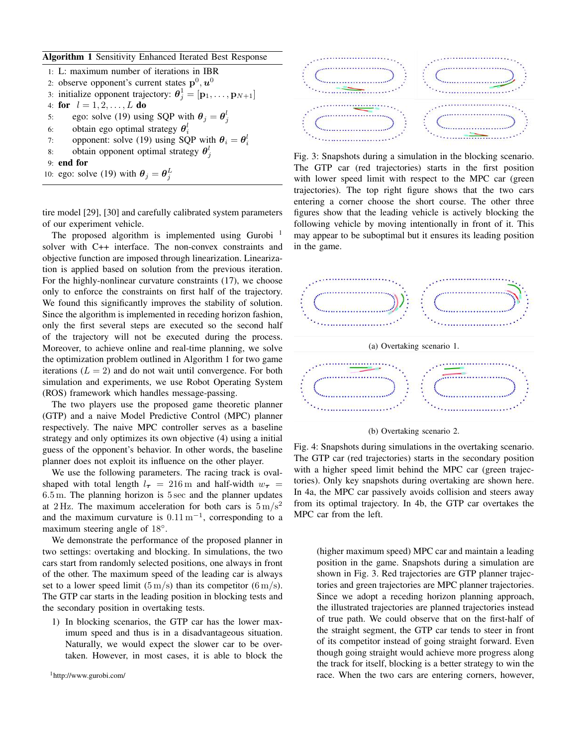# Algorithm 1 Sensitivity Enhanced Iterated Best Response

|    | 1: L: maximum number of iterations in IBR                                                              |
|----|--------------------------------------------------------------------------------------------------------|
|    | 2: observe opponent's current states $p^0, u^0$                                                        |
|    | 3: initialize opponent trajectory: $\boldsymbol{\theta}_i^1 = [\mathbf{p}_1, \dots, \mathbf{p}_{N+1}]$ |
|    | 4: for $l = 1, 2, , L$ do                                                                              |
| 5: | ego: solve (19) using SQP with $\theta_i = \theta_i^l$                                                 |
|    | 6: obtain ego optimal strategy $\theta_i^l$                                                            |
|    | opponent: solve (19) using SQP with $\theta_i = \theta_i^l$<br>7:                                      |
| 8: | obtain opponent optimal strategy $\theta_i^l$                                                          |
|    | $9:$ end for                                                                                           |
|    | 10: ego: solve (19) with $\theta_i = \theta_i^L$                                                       |
|    |                                                                                                        |

tire model [29], [30] and carefully calibrated system parameters of our experiment vehicle.

The proposed algorithm is implemented using Gurobi<sup>1</sup> solver with C++ interface. The non-convex constraints and objective function are imposed through linearization. Linearization is applied based on solution from the previous iteration. For the highly-nonlinear curvature constraints (17), we choose only to enforce the constraints on first half of the trajectory. We found this significantly improves the stability of solution. Since the algorithm is implemented in receding horizon fashion, only the first several steps are executed so the second half of the trajectory will not be executed during the process. Moreover, to achieve online and real-time planning, we solve the optimization problem outlined in Algorithm 1 for two game iterations ( $L = 2$ ) and do not wait until convergence. For both simulation and experiments, we use Robot Operating System (ROS) framework which handles message-passing.

The two players use the proposed game theoretic planner (GTP) and a naive Model Predictive Control (MPC) planner respectively. The naive MPC controller serves as a baseline strategy and only optimizes its own objective (4) using a initial guess of the opponent's behavior. In other words, the baseline planner does not exploit its influence on the other player.

We use the following parameters. The racing track is ovalshaped with total length  $l_{\tau}$  = 216 m and half-width  $w_{\tau}$  =  $6.5$  m. The planning horizon is  $5 \text{ sec}$  and the planner updates at 2 Hz. The maximum acceleration for both cars is  $5 \text{ m/s}^2$ and the maximum curvature is  $0.11 \text{ m}^{-1}$ , corresponding to a maximum steering angle of  $18^\circ$ .

We demonstrate the performance of the proposed planner in two settings: overtaking and blocking. In simulations, the two cars start from randomly selected positions, one always in front of the other. The maximum speed of the leading car is always set to a lower speed limit  $(5 \text{ m/s})$  than its competitor  $(6 \text{ m/s})$ . The GTP car starts in the leading position in blocking tests and the secondary position in overtaking tests.

1) In blocking scenarios, the GTP car has the lower maximum speed and thus is in a disadvantageous situation. Naturally, we would expect the slower car to be overtaken. However, in most cases, it is able to block the



Fig. 3: Snapshots during a simulation in the blocking scenario. The GTP car (red trajectories) starts in the first position with lower speed limit with respect to the MPC car (green trajectories). The top right figure shows that the two cars entering a corner choose the short course. The other three figures show that the leading vehicle is actively blocking the following vehicle by moving intentionally in front of it. This may appear to be suboptimal but it ensures its leading position in the game.



(b) Overtaking scenario 2.

Fig. 4: Snapshots during simulations in the overtaking scenario. The GTP car (red trajectories) starts in the secondary position with a higher speed limit behind the MPC car (green trajectories). Only key snapshots during overtaking are shown here. In 4a, the MPC car passively avoids collision and steers away from its optimal trajectory. In 4b, the GTP car overtakes the MPC car from the left.

(higher maximum speed) MPC car and maintain a leading position in the game. Snapshots during a simulation are shown in Fig. 3. Red trajectories are GTP planner trajectories and green trajectories are MPC planner trajectories. Since we adopt a receding horizon planning approach, the illustrated trajectories are planned trajectories instead of true path. We could observe that on the first-half of the straight segment, the GTP car tends to steer in front of its competitor instead of going straight forward. Even though going straight would achieve more progress along the track for itself, blocking is a better strategy to win the race. When the two cars are entering corners, however,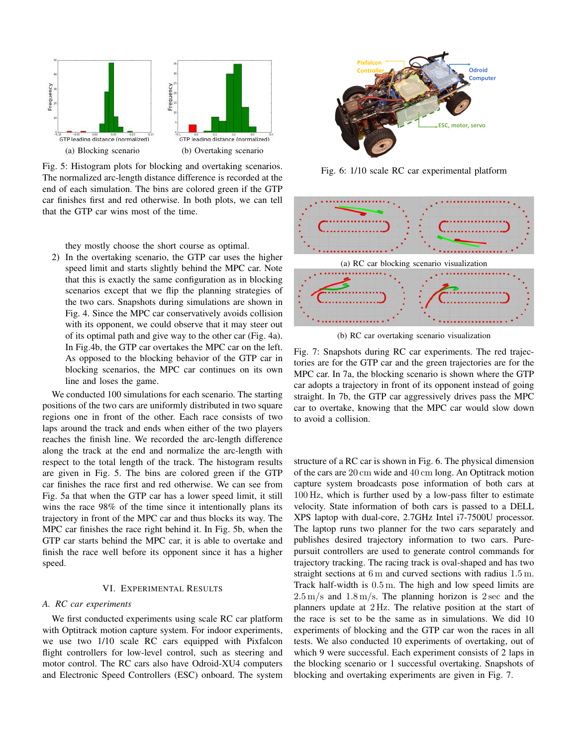

Fig. 5: Histogram plots for blocking and overtaking scenarios. The normalized arc-length distance difference is recorded at the end of each simulation. The bins are colored green if the GTP car finishes first and red otherwise. In both plots, we can tell that the GTP car wins most of the time.

they mostly choose the short course as optimal.

2) In the overtaking scenario, the GTP car uses the higher speed limit and starts slightly behind the MPC car. Note that this is exactly the same configuration as in blocking scenarios except that we flip the planning strategies of the two cars. Snapshots during simulations are shown in Fig. 4. Since the MPC car conservatively avoids collision with its opponent, we could observe that it may steer out of its optimal path and give way to the other car (Fig. 4a). In Fig.4b, the GTP car overtakes the MPC car on the left. As opposed to the blocking behavior of the GTP car in blocking scenarios, the MPC car continues on its own line and loses the game.

We conducted 100 simulations for each scenario. The starting positions of the two cars are uniformly distributed in two square regions one in front of the other. Each race consists of two laps around the track and ends when either of the two players reaches the finish line. We recorded the arc-length difference along the track at the end and normalize the arc-length with respect to the total length of the track. The histogram results are given in Fig. 5. The bins are colored green if the GTP car finishes the race first and red otherwise. We can see from Fig. 5a that when the GTP car has a lower speed limit, it still wins the race 98% of the time since it intentionally plans its trajectory in front of the MPC car and thus blocks its way. The MPC car finishes the race right behind it. In Fig. 5b, when the GTP car starts behind the MPC car, it is able to overtake and finish the race well before its opponent since it has a higher speed.

# VI. EXPERIMENTAL RESULTS

#### A. RC car experiments

We first conducted experiments using scale RC car platform with Optitrack motion capture system. For indoor experiments, we use two 1/10 scale RC cars equipped with Pixfalcon flight controllers for low-level control, such as steering and motor control. The RC cars also have Odroid-XU4 computers and Electronic Speed Controllers (ESC) onboard. The system



Fig. 6: 1/10 scale RC car experimental platform



(b) RC car overtaking scenario visualization

Fig. 7: Snapshots during RC car experiments. The red trajectories are for the GTP car and the green trajectories are for the MPC car. In 7a, the blocking scenario is shown where the GTP car adopts a trajectory in front of its opponent instead of going straight. In 7b, the GTP car aggressively drives pass the MPC car to overtake, knowing that the MPC car would slow down to avoid a collision.

structure of a RC car is shown in Fig. 6. The physical dimension of the cars are 20 cm wide and 40 cm long. An Optitrack motion capture system broadcasts pose information of both cars at 100 Hz, which is further used by a low-pass filter to estimate velocity. State information of both cars is passed to a DELL XPS laptop with dual-core, 2.7GHz Intel i7-7500U processor. The laptop runs two planner for the two cars separately and publishes desired trajectory information to two cars. Purepursuit controllers are used to generate control commands for trajectory tracking. The racing track is oval-shaped and has two straight sections at  $6 \text{ m}$  and curved sections with radius  $1.5 \text{ m}$ . Track half-width is  $0.5 \text{ m}$ . The high and low speed limits are  $2.5 \,\mathrm{m/s}$  and  $1.8 \,\mathrm{m/s}$ . The planning horizon is 2 sec and the planners update at 2 Hz. The relative position at the start of the race is set to be the same as in simulations. We did 10 experiments of blocking and the GTP car won the races in all tests. We also conducted 10 experiments of overtaking, out of which 9 were successful. Each experiment consists of 2 laps in the blocking scenario or 1 successful overtaking. Snapshots of blocking and overtaking experiments are given in Fig. 7.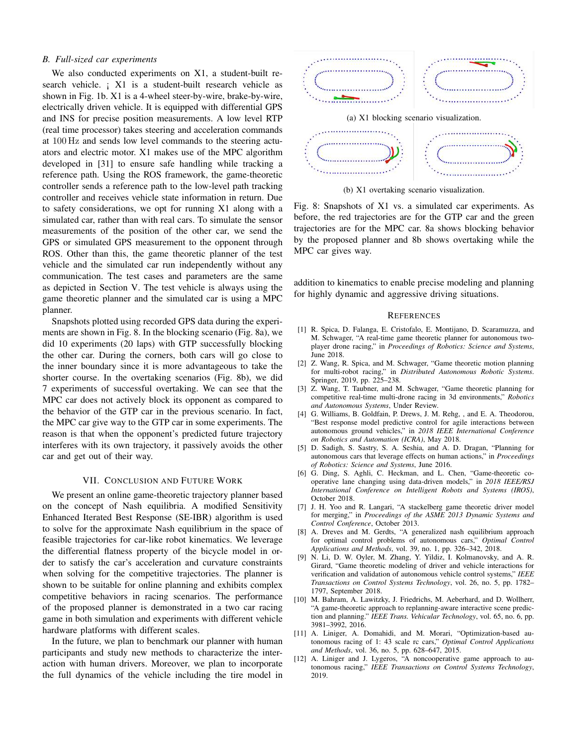# **B.** Full-sized car experiments

We also conducted experiments on X1, a student-built research vehicle. ; X1 is a student-built research vehicle as shown in Fig. 1b. X1 is a 4-wheel steer-by-wire, brake-by-wire, electrically driven vehicle. It is equipped with differential GPS and INS for precise position measurements. A low level RTP (real time processor) takes steering and acceleration commands at 100 Hz and sends low level commands to the steering actuators and electric motor. X1 makes use of the MPC algorithm developed in [31] to ensure safe handling while tracking a reference path. Using the ROS framework, the game-theoretic controller sends a reference path to the low-level path tracking controller and receives vehicle state information in return. Due to safety considerations, we opt for running X1 along with a simulated car, rather than with real cars. To simulate the sensor measurements of the position of the other car, we send the GPS or simulated GPS measurement to the opponent through ROS. Other than this, the game theoretic planner of the test vehicle and the simulated car run independently without any communication. The test cases and parameters are the same as depicted in Section V. The test vehicle is always using the game theoretic planner and the simulated car is using a MPC planner.

Snapshots plotted using recorded GPS data during the experiments are shown in Fig. 8. In the blocking scenario (Fig. 8a), we did 10 experiments (20 laps) with GTP successfully blocking the other car. During the corners, both cars will go close to the inner boundary since it is more advantageous to take the shorter course. In the overtaking scenarios (Fig. 8b), we did 7 experiments of successful overtaking. We can see that the MPC car does not actively block its opponent as compared to the behavior of the GTP car in the previous scenario. In fact, the MPC car give way to the GTP car in some experiments. The reason is that when the opponent's predicted future trajectory interferes with its own trajectory, it passively avoids the other car and get out of their way.

### VII. CONCLUSION AND FUTURE WORK

We present an online game-theoretic trajectory planner based on the concept of Nash equilibria. A modified Sensitivity Enhanced Iterated Best Response (SE-IBR) algorithm is used to solve for the approximate Nash equilibrium in the space of feasible trajectories for car-like robot kinematics. We leverage the differential flatness property of the bicycle model in order to satisfy the car's acceleration and curvature constraints when solving for the competitive trajectories. The planner is shown to be suitable for online planning and exhibits complex competitive behaviors in racing scenarios. The performance of the proposed planner is demonstrated in a two car racing game in both simulation and experiments with different vehicle hardware platforms with different scales.

In the future, we plan to benchmark our planner with human participants and study new methods to characterize the interaction with human drivers. Moreover, we plan to incorporate the full dynamics of the vehicle including the tire model in



(b) X1 overtaking scenario visualization.

Fig. 8: Snapshots of X1 vs. a simulated car experiments. As before, the red trajectories are for the GTP car and the green trajectories are for the MPC car. 8a shows blocking behavior by the proposed planner and 8b shows overtaking while the MPC car gives way.

addition to kinematics to enable precise modeling and planning for highly dynamic and aggressive driving situations.

## **REFERENCES**

- [1] R. Spica, D. Falanga, E. Cristofalo, E. Montijano, D. Scaramuzza, and M. Schwager, "A real-time game theoretic planner for autonomous twoplayer drone racing," in Proceedings of Robotics: Science and Systems, June 2018.
- [2] Z. Wang, R. Spica, and M. Schwager, "Game theoretic motion planning for multi-robot racing," in Distributed Autonomous Robotic Systems. Springer, 2019, pp. 225-238.
- [3] Z. Wang, T. Taubner, and M. Schwager, "Game theoretic planning for competitive real-time multi-drone racing in 3d environments," Robotics and Autonomous Systems, Under Review.
- [4] G. Williams, B. Goldfain, P. Drews, J. M. Rehg, , and E. A. Theodorou, "Best response model predictive control for agile interactions between autonomous ground vehicles," in 2018 IEEE International Conference on Robotics and Automation (ICRA), May 2018.
- [5] D. Sadigh, S. Sastry, S. A. Seshia, and A. D. Dragan, "Planning for autonomous cars that leverage effects on human actions," in Proceedings of Robotics: Science and Systems, June 2016.
- [6] G. Ding, S. Aghli, C. Heckman, and L. Chen, "Game-theoretic cooperative lane changing using data-driven models," in 2018 IEEE/RSJ International Conference on Intelligent Robots and Systems (IROS), October 2018
- [7] J. H. Yoo and R. Langari, "A stackelberg game theoretic driver model for merging," in Proceedings of the ASME 2013 Dynamic Systems and Control Conference, October 2013.
- [8] A. Dreves and M. Gerdts, "A generalized nash equilibrium approach for optimal control problems of autonomous cars," Optimal Control Applications and Methods, vol. 39, no. 1, pp. 326-342, 2018.
- [9] N. Li, D. W. Oyler, M. Zhang, Y. Yildiz, I. Kolmanovsky, and A. R. Girard, "Game theoretic modeling of driver and vehicle interactions for verification and validation of autonomous vehicle control systems," IEEE Transactions on Control Systems Technology, vol. 26, no. 5, pp. 1782-1797, September 2018.
- [10] M. Bahram, A. Lawitzky, J. Friedrichs, M. Aeberhard, and D. Wollherr, "A game-theoretic approach to replanning-aware interactive scene prediction and planning." IEEE Trans. Vehicular Technology, vol. 65, no. 6, pp. 3981-3992 2016
- [11] A. Liniger, A. Domahidi, and M. Morari, "Optimization-based autonomous racing of 1: 43 scale rc cars," Optimal Control Applications and Methods, vol. 36, no. 5, pp. 628-647, 2015.
- $[12]$ A. Liniger and J. Lygeros, "A noncooperative game approach to autonomous racing," IEEE Transactions on Control Systems Technology, 2019.